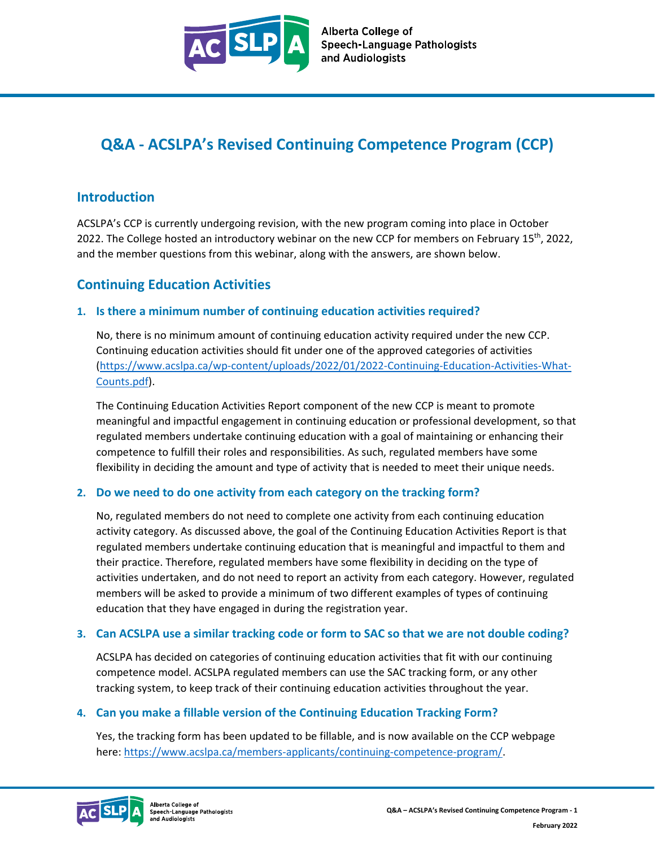

# **Q&A - ACSLPA's Revised Continuing Competence Program (CCP)**

## **Introduction**

ACSLPA's CCP is currently undergoing revision, with the new program coming into place in October 2022. The College hosted an introductory webinar on the new CCP for members on February 15<sup>th</sup>, 2022, and the member questions from this webinar, along with the answers, are shown below.

# **Continuing Education Activities**

### **1. Is there a minimum number of continuing education activities required?**

No, there is no minimum amount of continuing education activity required under the new CCP. Continuing education activities should fit under one of the approved categories of activities [\(https://www.acslpa.ca/wp-content/uploads/2022/01/2022-Continuing-Education-Activities-What-](https://www.acslpa.ca/wp-content/uploads/2022/01/2022-Continuing-Education-Activities-What-Counts.pdf)[Counts.pdf\)](https://www.acslpa.ca/wp-content/uploads/2022/01/2022-Continuing-Education-Activities-What-Counts.pdf).

The Continuing Education Activities Report component of the new CCP is meant to promote meaningful and impactful engagement in continuing education or professional development, so that regulated members undertake continuing education with a goal of maintaining or enhancing their competence to fulfill their roles and responsibilities. As such, regulated members have some flexibility in deciding the amount and type of activity that is needed to meet their unique needs.

### **2. Do we need to do one activity from each category on the tracking form?**

No, regulated members do not need to complete one activity from each continuing education activity category. As discussed above, the goal of the Continuing Education Activities Report is that regulated members undertake continuing education that is meaningful and impactful to them and their practice. Therefore, regulated members have some flexibility in deciding on the type of activities undertaken, and do not need to report an activity from each category. However, regulated members will be asked to provide a minimum of two different examples of types of continuing education that they have engaged in during the registration year.

### **3. Can ACSLPA use a similar tracking code or form to SAC so that we are not double coding?**

ACSLPA has decided on categories of continuing education activities that fit with our continuing competence model. ACSLPA regulated members can use the SAC tracking form, or any other tracking system, to keep track of their continuing education activities throughout the year.

### **4. Can you make a fillable version of the Continuing Education Tracking Form?**

Yes, the tracking form has been updated to be fillable, and is now available on the CCP webpage here: [https://www.acslpa.ca/members-applicants/continuing-competence-program/.](https://www.acslpa.ca/members-applicants/continuing-competence-program/)

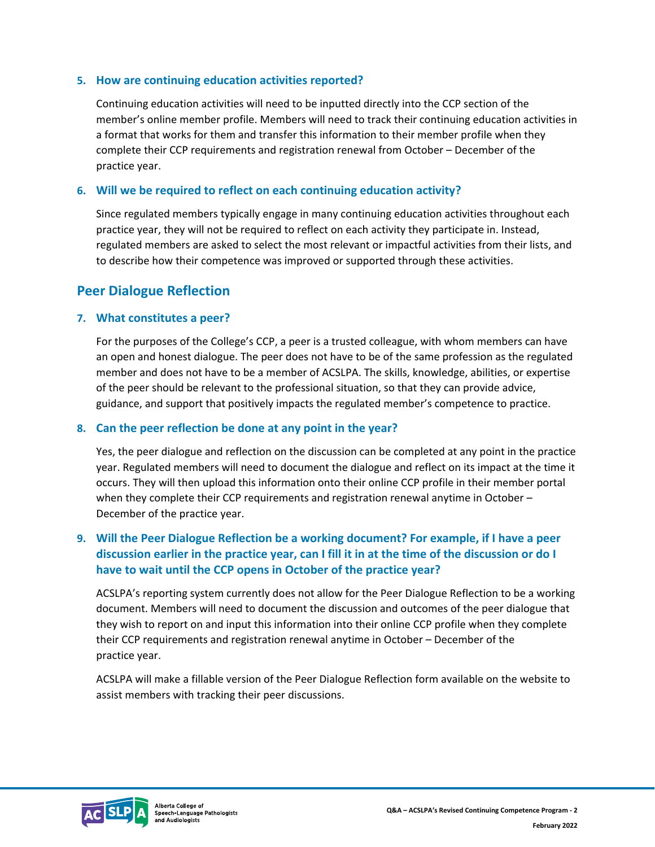#### **5. How are continuing education activities reported?**

Continuing education activities will need to be inputted directly into the CCP section of the member's online member profile. Members will need to track their continuing education activities in a format that works for them and transfer this information to their member profile when they complete their CCP requirements and registration renewal from October – December of the practice year.

#### **6. Will we be required to reflect on each continuing education activity?**

Since regulated members typically engage in many continuing education activities throughout each practice year, they will not be required to reflect on each activity they participate in. Instead, regulated members are asked to select the most relevant or impactful activities from their lists, and to describe how their competence was improved or supported through these activities.

## **Peer Dialogue Reflection**

#### **7. What constitutes a peer?**

For the purposes of the College's CCP, a peer is a trusted colleague, with whom members can have an open and honest dialogue. The peer does not have to be of the same profession as the regulated member and does not have to be a member of ACSLPA. The skills, knowledge, abilities, or expertise of the peer should be relevant to the professional situation, so that they can provide advice, guidance, and support that positively impacts the regulated member's competence to practice.

#### **8. Can the peer reflection be done at any point in the year?**

Yes, the peer dialogue and reflection on the discussion can be completed at any point in the practice year. Regulated members will need to document the dialogue and reflect on its impact at the time it occurs. They will then upload this information onto their online CCP profile in their member portal when they complete their CCP requirements and registration renewal anytime in October -December of the practice year.

### **9. Will the Peer Dialogue Reflection be a working document? For example, if I have a peer discussion earlier in the practice year, can I fill it in at the time of the discussion or do I have to wait until the CCP opens in October of the practice year?**

ACSLPA's reporting system currently does not allow for the Peer Dialogue Reflection to be a working document. Members will need to document the discussion and outcomes of the peer dialogue that they wish to report on and input this information into their online CCP profile when they complete their CCP requirements and registration renewal anytime in October – December of the practice year.

ACSLPA will make a fillable version of the Peer Dialogue Reflection form available on the website to assist members with tracking their peer discussions.

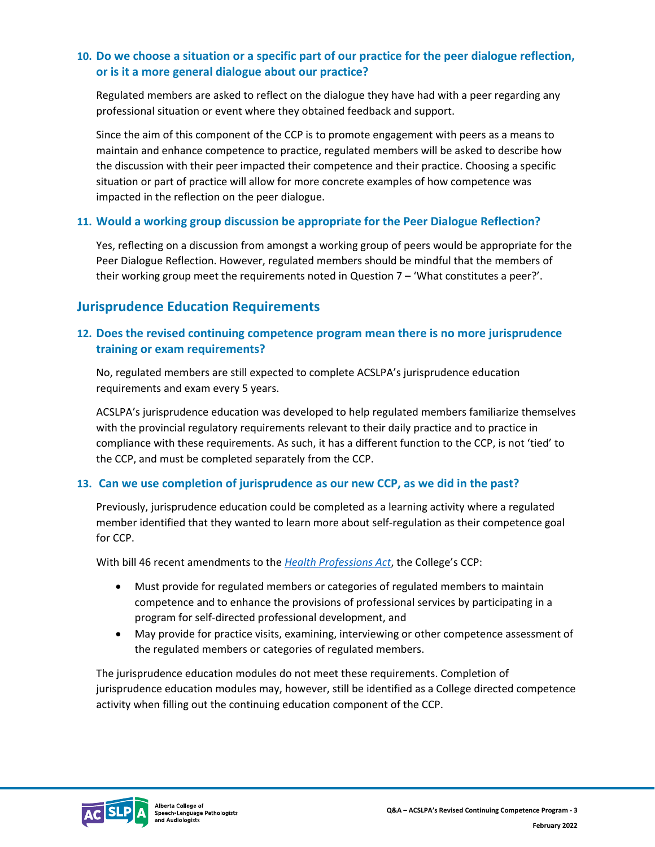### **10. Do we choose a situation or a specific part of our practice for the peer dialogue reflection, or is it a more general dialogue about our practice?**

Regulated members are asked to reflect on the dialogue they have had with a peer regarding any professional situation or event where they obtained feedback and support.

Since the aim of this component of the CCP is to promote engagement with peers as a means to maintain and enhance competence to practice, regulated members will be asked to describe how the discussion with their peer impacted their competence and their practice. Choosing a specific situation or part of practice will allow for more concrete examples of how competence was impacted in the reflection on the peer dialogue.

### **11. Would a working group discussion be appropriate for the Peer Dialogue Reflection?**

Yes, reflecting on a discussion from amongst a working group of peers would be appropriate for the Peer Dialogue Reflection. However, regulated members should be mindful that the members of their working group meet the requirements noted in Question 7 – 'What constitutes a peer?'.

# **Jurisprudence Education Requirements**

### **12. Does the revised continuing competence program mean there is no more jurisprudence training or exam requirements?**

No, regulated members are still expected to complete ACSLPA's jurisprudence education requirements and exam every 5 years.

ACSLPA's jurisprudence education was developed to help regulated members familiarize themselves with the provincial regulatory requirements relevant to their daily practice and to practice in compliance with these requirements. As such, it has a different function to the CCP, is not 'tied' to the CCP, and must be completed separately from the CCP.

### **13. Can we use completion of jurisprudence as our new CCP, as we did in the past?**

Previously, jurisprudence education could be completed as a learning activity where a regulated member identified that they wanted to learn more about self-regulation as their competence goal for CCP.

With bill 46 recent amendments to the *[Health Professions Act](https://www.qp.alberta.ca/documents/Acts/h07.pdf)*, the College's CCP:

- Must provide for regulated members or categories of regulated members to maintain competence and to enhance the provisions of professional services by participating in a program for self-directed professional development, and
- May provide for practice visits, examining, interviewing or other competence assessment of the regulated members or categories of regulated members.

The jurisprudence education modules do not meet these requirements. Completion of jurisprudence education modules may, however, still be identified as a College directed competence activity when filling out the continuing education component of the CCP.